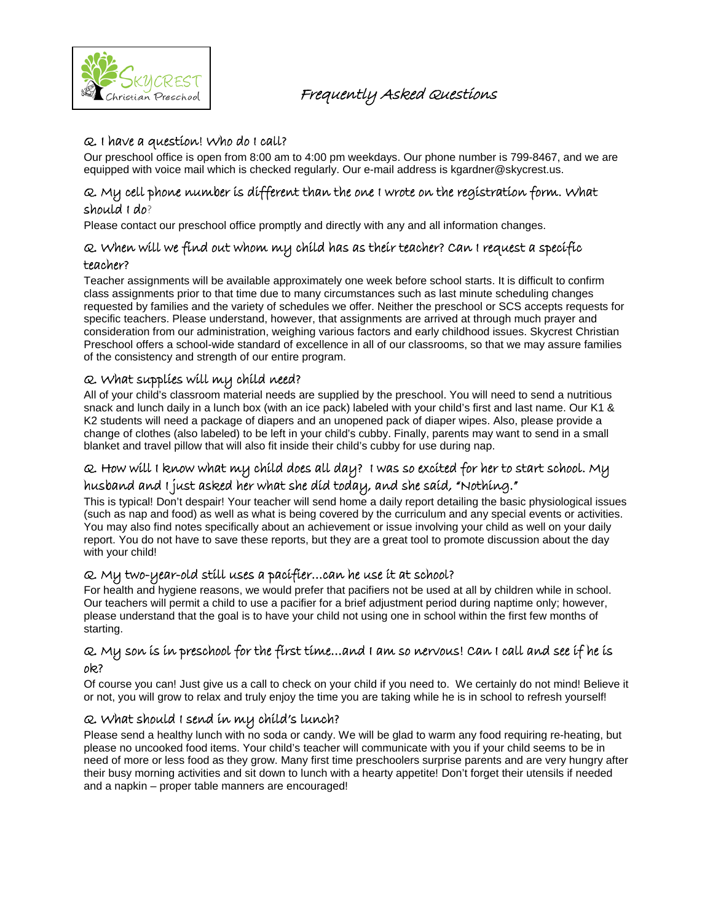

## Q. I have a question! Who do I call?

Our preschool office is open from 8:00 am to 4:00 pm weekdays. Our phone number is 799-8467, and we are equipped with voice mail which is checked regularly. Our e-mail address is kgardner@skycrest.us.

### Q. My cell phone number is different than the one I wrote on the registration form. What should I do?

Please contact our preschool office promptly and directly with any and all information changes.

### Q. When will we find out whom my child has as their teacher? Can I request a specific teacher?

Teacher assignments will be available approximately one week before school starts. It is difficult to confirm class assignments prior to that time due to many circumstances such as last minute scheduling changes requested by families and the variety of schedules we offer. Neither the preschool or SCS accepts requests for specific teachers. Please understand, however, that assignments are arrived at through much prayer and consideration from our administration, weighing various factors and early childhood issues. Skycrest Christian Preschool offers a school-wide standard of excellence in all of our classrooms, so that we may assure families of the consistency and strength of our entire program.

# Q. What supplies will my child need?

All of your child's classroom material needs are supplied by the preschool. You will need to send a nutritious snack and lunch daily in a lunch box (with an ice pack) labeled with your child's first and last name. Our K1 & K2 students will need a package of diapers and an unopened pack of diaper wipes. Also, please provide a change of clothes (also labeled) to be left in your child's cubby. Finally, parents may want to send in a small blanket and travel pillow that will also fit inside their child's cubby for use during nap.

### Q. How will I know what my child does all day? I was so excited for her to start school. My husband and I just asked her what she did today, and she said, "Nothing."

This is typical! Don't despair! Your teacher will send home a daily report detailing the basic physiological issues (such as nap and food) as well as what is being covered by the curriculum and any special events or activities. You may also find notes specifically about an achievement or issue involving your child as well on your daily report. You do not have to save these reports, but they are a great tool to promote discussion about the day with your child!

### Q. My two-year-old still uses a pacifier…can he use it at school?

For health and hygiene reasons, we would prefer that pacifiers not be used at all by children while in school. Our teachers will permit a child to use a pacifier for a brief adjustment period during naptime only; however, please understand that the goal is to have your child not using one in school within the first few months of starting.

### Q. My son is in preschool for the first time…and I am so nervous! Can I call and see if he is ok?

Of course you can! Just give us a call to check on your child if you need to. We certainly do not mind! Believe it or not, you will grow to relax and truly enjoy the time you are taking while he is in school to refresh yourself!

### Q. What should I send in my child's lunch?

Please send a healthy lunch with no soda or candy. We will be glad to warm any food requiring re-heating, but please no uncooked food items. Your child's teacher will communicate with you if your child seems to be in need of more or less food as they grow. Many first time preschoolers surprise parents and are very hungry after their busy morning activities and sit down to lunch with a hearty appetite! Don't forget their utensils if needed and a napkin – proper table manners are encouraged!